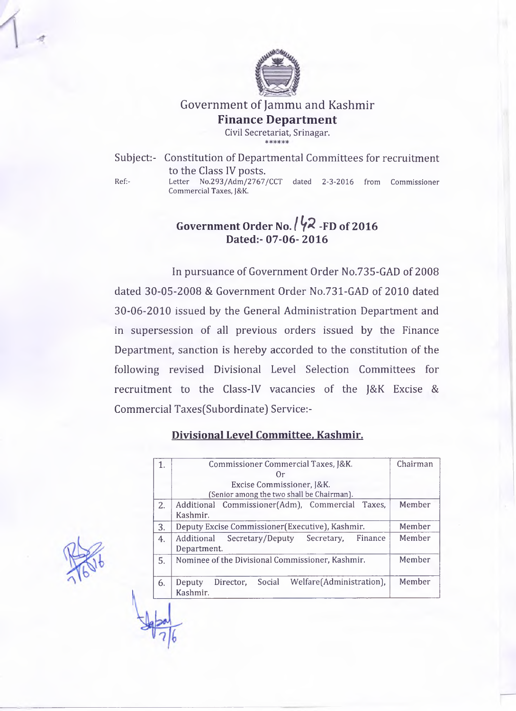

# Government of Jammu and Kashmir **Finance Department**

**Civil Secretariat, Srinagar.** 3)C 3fC

Subject:- Constitution of Departmental Committees for recruitment to the Class IV posts. Ref:- Letter No.293/Adm/2767/CCT dated 2-3-2016 from Commissioner Commercial Taxes, J&K.

## **Government Order No. /** *f a* **-FD of 2016 Dated:- 07-06- 2016**

In pursuance of Government Order No.735-GAD of 2008 dated 30-05-2008 & Government Order No.731-GAD of 2010 dated 30-06-2010 issued by the General Administration Department and in supersession of all previous orders issued by the Finance Department, sanction is hereby accorded to the constitution of the following revised Divisional Level Selection Committees for recruitment to the Class-IV vacancies of the J&K Excise & Commercial Taxes(Subordinate) Service:-

#### **Divisional Level Committee. Kashmir.**

|    | Commissioner Commercial Taxes, [&K.                       | Chairman |
|----|-----------------------------------------------------------|----------|
|    | Or)                                                       |          |
|    | Excise Commissioner, [&K.                                 |          |
|    | (Senior among the two shall be Chairman).                 |          |
| 2. | Additional Commissioner(Adm), Commercial Taxes,           | Member   |
|    | Kashmir.                                                  |          |
| 3. | Deputy Excise Commissioner (Executive), Kashmir.          | Member   |
| 4. | Secretary/Deputy<br>Secretary,<br>Additional<br>Finance   | Member   |
|    | Department.                                               |          |
| 5. | Nominee of the Divisional Commissioner, Kashmir.          | Member   |
|    |                                                           |          |
| 6. | Social<br>Welfare(Administration),<br>Director,<br>Deputy | Member   |
|    | Kashmir.                                                  |          |